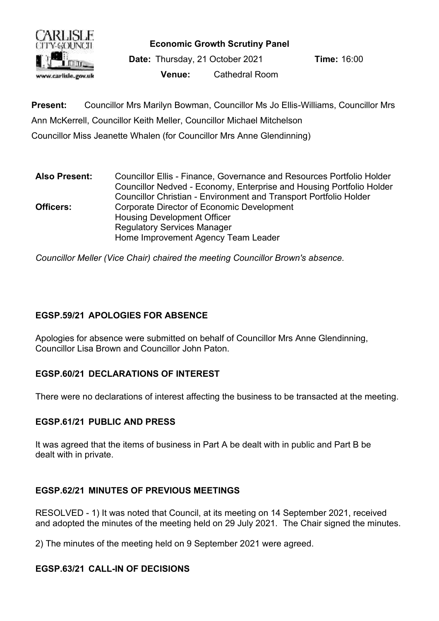

**Economic Growth Scrutiny Panel**

**Date:** Thursday, 21 October 2021 **Time:** 16:00 **Venue:** Cathedral Room

**Present:** Councillor Mrs Marilyn Bowman, Councillor Ms Jo Ellis-Williams, Councillor Mrs Ann McKerrell, Councillor Keith Meller, Councillor Michael Mitchelson Councillor Miss Jeanette Whalen (for Councillor Mrs Anne Glendinning)

**Also Present:** Councillor Ellis - Finance, Governance and Resources Portfolio Holder Councillor Nedved - Economy, Enterprise and Housing Portfolio Holder Councillor Christian - Environment and Transport Portfolio Holder **Officers:** Corporate Director of Economic Development Housing Development Officer Regulatory Services Manager Home Improvement Agency Team Leader

*Councillor Meller (Vice Chair) chaired the meeting Councillor Brown's absence.*

## **EGSP.59/21 APOLOGIES FOR ABSENCE**

Apologies for absence were submitted on behalf of Councillor Mrs Anne Glendinning, Councillor Lisa Brown and Councillor John Paton.

## **EGSP.60/21 DECLARATIONS OF INTEREST**

There were no declarations of interest affecting the business to be transacted at the meeting.

#### **EGSP.61/21 PUBLIC AND PRESS**

It was agreed that the items of business in Part A be dealt with in public and Part B be dealt with in private.

## **EGSP.62/21 MINUTES OF PREVIOUS MEETINGS**

RESOLVED - 1) It was noted that Council, at its meeting on 14 September 2021, received and adopted the minutes of the meeting held on 29 July 2021. The Chair signed the minutes.

2) The minutes of the meeting held on 9 September 2021 were agreed.

## **EGSP.63/21 CALL-IN OF DECISIONS**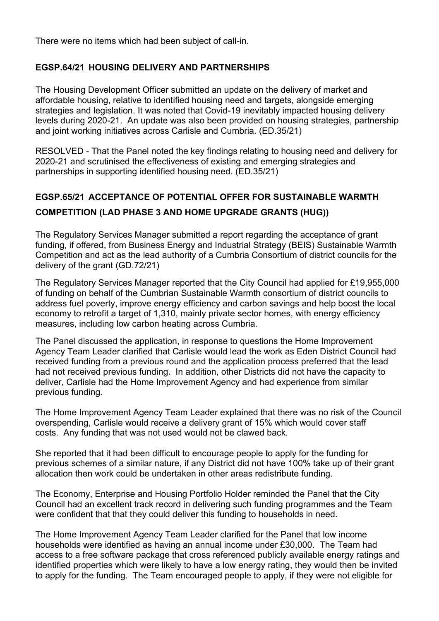There were no items which had been subject of call-in.

#### **EGSP.64/21 HOUSING DELIVERY AND PARTNERSHIPS**

The Housing Development Officer submitted an update on the delivery of market and affordable housing, relative to identified housing need and targets, alongside emerging strategies and legislation. It was noted that Covid-19 inevitably impacted housing delivery levels during 2020-21. An update was also been provided on housing strategies, partnership and joint working initiatives across Carlisle and Cumbria. (ED.35/21)

RESOLVED - That the Panel noted the key findings relating to housing need and delivery for 2020-21 and scrutinised the effectiveness of existing and emerging strategies and partnerships in supporting identified housing need. (ED.35/21)

# **EGSP.65/21 ACCEPTANCE OF POTENTIAL OFFER FOR SUSTAINABLE WARMTH COMPETITION (LAD PHASE 3 AND HOME UPGRADE GRANTS (HUG))**

The Regulatory Services Manager submitted a report regarding the acceptance of grant funding, if offered, from Business Energy and Industrial Strategy (BEIS) Sustainable Warmth Competition and act as the lead authority of a Cumbria Consortium of district councils for the delivery of the grant (GD.72/21)

The Regulatory Services Manager reported that the City Council had applied for £19,955,000 of funding on behalf of the Cumbrian Sustainable Warmth consortium of district councils to address fuel poverty, improve energy efficiency and carbon savings and help boost the local economy to retrofit a target of 1,310, mainly private sector homes, with energy efficiency measures, including low carbon heating across Cumbria.

The Panel discussed the application, in response to questions the Home Improvement Agency Team Leader clarified that Carlisle would lead the work as Eden District Council had received funding from a previous round and the application process preferred that the lead had not received previous funding. In addition, other Districts did not have the capacity to deliver, Carlisle had the Home Improvement Agency and had experience from similar previous funding.

The Home Improvement Agency Team Leader explained that there was no risk of the Council overspending, Carlisle would receive a delivery grant of 15% which would cover staff costs. Any funding that was not used would not be clawed back.

She reported that it had been difficult to encourage people to apply for the funding for previous schemes of a similar nature, if any District did not have 100% take up of their grant allocation then work could be undertaken in other areas redistribute funding.

The Economy, Enterprise and Housing Portfolio Holder reminded the Panel that the City Council had an excellent track record in delivering such funding programmes and the Team were confident that that they could deliver this funding to households in need.

The Home Improvement Agency Team Leader clarified for the Panel that low income households were identified as having an annual income under £30,000. The Team had access to a free software package that cross referenced publicly available energy ratings and identified properties which were likely to have a low energy rating, they would then be invited to apply for the funding. The Team encouraged people to apply, if they were not eligible for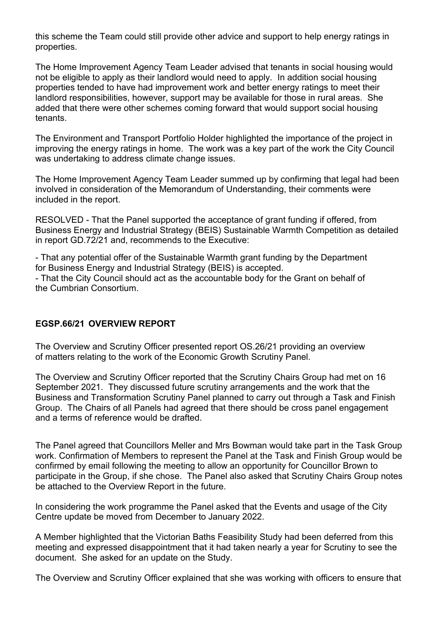this scheme the Team could still provide other advice and support to help energy ratings in properties.

The Home Improvement Agency Team Leader advised that tenants in social housing would not be eligible to apply as their landlord would need to apply. In addition social housing properties tended to have had improvement work and better energy ratings to meet their landlord responsibilities, however, support may be available for those in rural areas. She added that there were other schemes coming forward that would support social housing tenants.

The Environment and Transport Portfolio Holder highlighted the importance of the project in improving the energy ratings in home. The work was a key part of the work the City Council was undertaking to address climate change issues.

The Home Improvement Agency Team Leader summed up by confirming that legal had been involved in consideration of the Memorandum of Understanding, their comments were included in the report.

RESOLVED - That the Panel supported the acceptance of grant funding if offered, from Business Energy and Industrial Strategy (BEIS) Sustainable Warmth Competition as detailed in report GD.72/21 and, recommends to the Executive:

- That any potential offer of the Sustainable Warmth grant funding by the Department for Business Energy and Industrial Strategy (BEIS) is accepted.

- That the City Council should act as the accountable body for the Grant on behalf of the Cumbrian Consortium.

#### **EGSP.66/21 OVERVIEW REPORT**

The Overview and Scrutiny Officer presented report OS.26/21 providing an overview of matters relating to the work of the Economic Growth Scrutiny Panel.

The Overview and Scrutiny Officer reported that the Scrutiny Chairs Group had met on 16 September 2021. They discussed future scrutiny arrangements and the work that the Business and Transformation Scrutiny Panel planned to carry out through a Task and Finish Group. The Chairs of all Panels had agreed that there should be cross panel engagement and a terms of reference would be drafted.

The Panel agreed that Councillors Meller and Mrs Bowman would take part in the Task Group work. Confirmation of Members to represent the Panel at the Task and Finish Group would be confirmed by email following the meeting to allow an opportunity for Councillor Brown to participate in the Group, if she chose. The Panel also asked that Scrutiny Chairs Group notes be attached to the Overview Report in the future.

In considering the work programme the Panel asked that the Events and usage of the City Centre update be moved from December to January 2022.

A Member highlighted that the Victorian Baths Feasibility Study had been deferred from this meeting and expressed disappointment that it had taken nearly a year for Scrutiny to see the document. She asked for an update on the Study.

The Overview and Scrutiny Officer explained that she was working with officers to ensure that